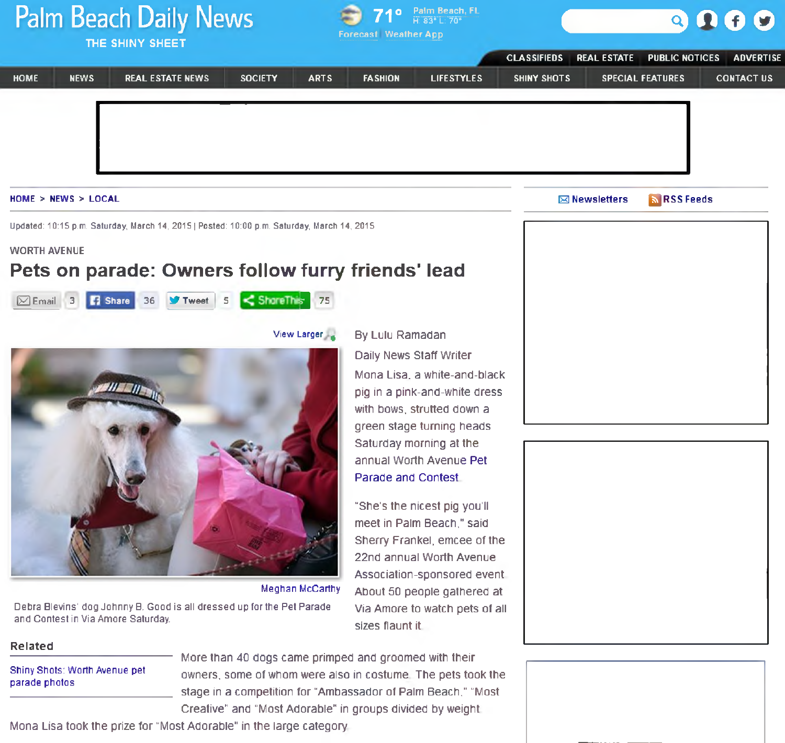# Palm Beach Daily News





| THE SHINY SHEET     |                                    |                         | <b>Forecast Weather App</b>                                                                                         |                        |                                              |                                                                                                                                                                                                                                                                                                                                                                                                                                           |                    |                      |                                              |                                       |
|---------------------|------------------------------------|-------------------------|---------------------------------------------------------------------------------------------------------------------|------------------------|----------------------------------------------|-------------------------------------------------------------------------------------------------------------------------------------------------------------------------------------------------------------------------------------------------------------------------------------------------------------------------------------------------------------------------------------------------------------------------------------------|--------------------|----------------------|----------------------------------------------|---------------------------------------|
| <b>HOME</b>         | <b>NEWS</b>                        | <b>REAL ESTATE NEWS</b> | <b>SOCIETY</b>                                                                                                      |                        |                                              | <b>LIFESTYLES</b>                                                                                                                                                                                                                                                                                                                                                                                                                         | <b>CLASSIFIEDS</b> | <b>REAL ESTATE</b>   | <b>PUBLIC NOTICES</b>                        | <b>ADVERTISE</b><br><b>CONTACT US</b> |
|                     | HOME > NEWS > LOCAL                |                         |                                                                                                                     | <b>ARTS</b>            | <b>FA SHION</b>                              |                                                                                                                                                                                                                                                                                                                                                                                                                                           | SHINY SHOTS        | <b>⊠</b> Newsletters | <b>SPECIAL FEATURES</b><br><b>ARSS Feeds</b> |                                       |
|                     |                                    |                         | Updated: 10:15 p.m. Saturday, March 14, 2015   Posted: 10:00 p.m. Saturday, March 14, 2015                          |                        |                                              |                                                                                                                                                                                                                                                                                                                                                                                                                                           |                    |                      |                                              |                                       |
| <b>WORTH AVENUE</b> |                                    |                         |                                                                                                                     |                        |                                              |                                                                                                                                                                                                                                                                                                                                                                                                                                           |                    |                      |                                              |                                       |
|                     |                                    |                         | Pets on parade: Owners follow furry friends' lead                                                                   |                        |                                              |                                                                                                                                                                                                                                                                                                                                                                                                                                           |                    |                      |                                              |                                       |
| $\boxtimes$ Email 3 | <b>B</b> Share                     | 36 V Tweet              | ShoreThis 75<br>5                                                                                                   |                        |                                              |                                                                                                                                                                                                                                                                                                                                                                                                                                           |                    |                      |                                              |                                       |
|                     |                                    |                         |                                                                                                                     | View Larger            | By Lulu Ramadan                              |                                                                                                                                                                                                                                                                                                                                                                                                                                           |                    |                      |                                              |                                       |
| <b>Related</b>      | and Contest in Via Amore Saturday. |                         | Debra Blevins' dog Johnny B. Good is all dressed up for the Pet Parade                                              | <b>Meghan McCarthy</b> | <b>Parade and Contest</b><br>sizes flaunt it | <b>Daily News Staff Writer</b><br>Mona Lisa, a white-and-black<br>pig in a pink-and-white dress<br>with bows, strutted down a<br>green stage turning heads<br>Saturday morning at the<br>annual Worth Avenue Pet<br>"She's the nicest pig you'll<br>meet in Palm Beach," said<br>Sherry Frankel, emcee of the<br>22nd annual Worth Avenue<br>Association-sponsored event<br>About 50 people gathered at<br>Via Amore to watch pets of all |                    |                      |                                              |                                       |
| parade photos       | Shiny Shots: Worth Avenue pet      |                         | More than 40 dogs came primped and groomed with their<br>Creative" and "Most Adorable" in groups divided by weight. |                        |                                              | owners, some of whom were also in costume. The pets took the<br>stage in a competition for "Ambassador of Palm Beach," "Most                                                                                                                                                                                                                                                                                                              |                    |                      |                                              |                                       |

Mona Lisa took the prize for "Most Adorable" in the large category.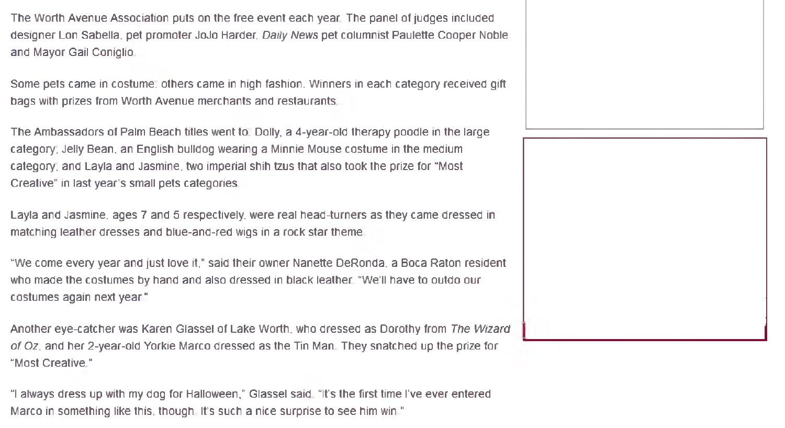The Worth Avenue Association puts on the free event each year. The panel of judges included designer Lon Sabella, pet promoter JoJo Harder. *Daily News* pet columnist Paulette Cooper Noble and Mayor Gail Coniglio.

Some pets came in costume; others came in high fashion. Winners in each category received gift bags with prizes from Worth Avenue merchants and restaurants.

The Ambassadors of Palm Beach titles went to; Dolly, a 4-year-old therapy poodle in the large category; Jelly Bean, an English bulldog wearing a Minnie Mouse costume in the medium category; and Layla and Jasmine, two imperial shih tzus that also took the prize for "Most Creative" in last year's small pets categories.

Layla and Jasmine, ages 7 and 5 respectively, were real head-turners as they came dressed in matching leather dresses and blue-and-red wigs in a rock star theme.

"We come every year and just love it," said their owner Nanette DeRonda. a Boca Raton resident who made the costumes by hand and also dressed in black leather. "We'll have to outdo our costumes again next year."

Another eye-catcher was Karen Glassel of Lake Worth, who dressed as Dorothy from The Wizard *o f* Oz. and her 2-year-old Yorkie Marco dressed as the Tin Man. They snatched up the prize for "Most Creative."

"I always dress up with my dog for Halloween," Glassel said. "It's the first time I've ever entered Marco in something like this, though. It's such a nice surprise to see him win."